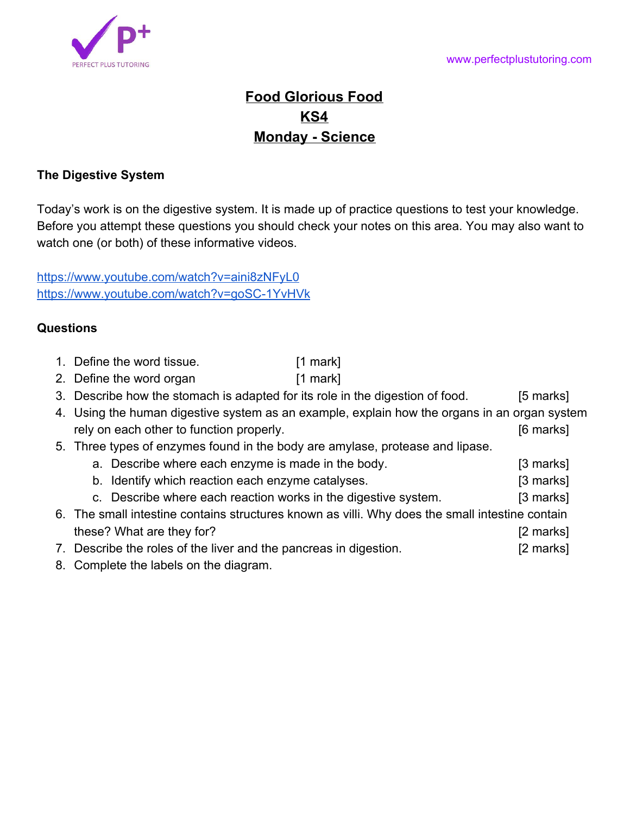

## **Food Glorious Food KS4 Monday - Science**

## **The Digestive System**

Today's work is on the digestive system. It is made up of practice questions to test your knowledge. Before you attempt these questions you should check your notes on this area. You may also want to watch one (or both) of these informative videos.

<https://www.youtube.com/watch?v=aini8zNFyL0> <https://www.youtube.com/watch?v=goSC-1YvHVk>

## **Questions**

- 1. Define the word tissue. [1 mark]
- 2. Define the word organ [1 mark]
- 3. Describe how the stomach is adapted for its role in the digestion of food. [5 marks]

| 4. Using the human digestive system as an example, explain how the organs in an organ system |           |
|----------------------------------------------------------------------------------------------|-----------|
| rely on each other to function properly.                                                     | [6 marks] |

- 5. Three types of enzymes found in the body are amylase, protease and lipase.
	- a. Describe where each enzyme is made in the body. [3 marks]
	- b. Identify which reaction each enzyme catalyses. The same states of  $\sim$  [3 marks]
	- c. Describe where each reaction works in the digestive system. [3 marks]
- 6. The small intestine contains structures known as villi. Why does the small intestine contain these? What are they for? [2 marks]
- 7. Describe the roles of the liver and the pancreas in digestion. [2 marks]
- 8. Complete the labels on the diagram.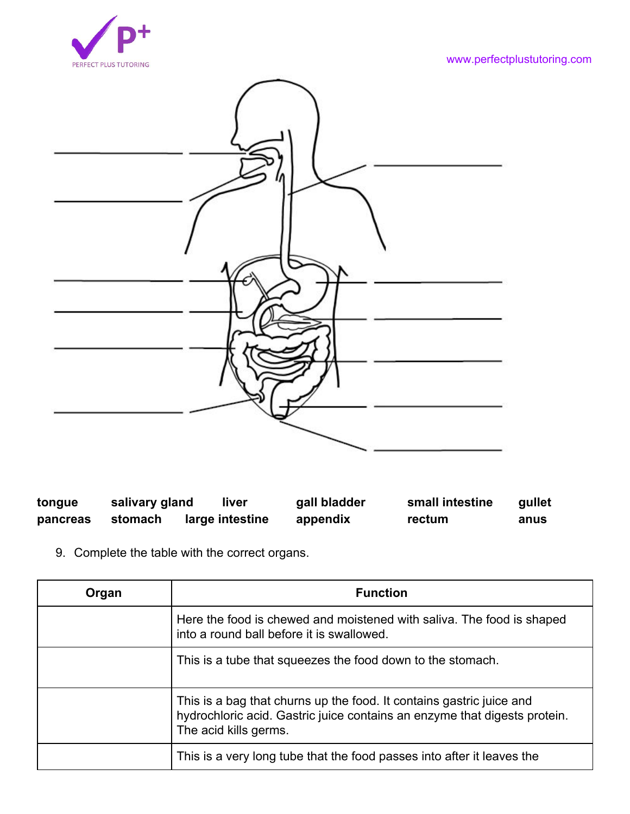



| tongue   | salivary gland | liver           | gall bladder | small intestine | qullet |
|----------|----------------|-----------------|--------------|-----------------|--------|
| pancreas | stomach        | large intestine | appendix     | rectum          | anus   |

9. Complete the table with the correct organs.

| Organ | <b>Function</b>                                                                                                                                                            |
|-------|----------------------------------------------------------------------------------------------------------------------------------------------------------------------------|
|       | Here the food is chewed and moistened with saliva. The food is shaped<br>into a round ball before it is swallowed.                                                         |
|       | This is a tube that squeezes the food down to the stomach.                                                                                                                 |
|       | This is a bag that churns up the food. It contains gastric juice and<br>hydrochloric acid. Gastric juice contains an enzyme that digests protein.<br>The acid kills germs. |
|       | This is a very long tube that the food passes into after it leaves the                                                                                                     |